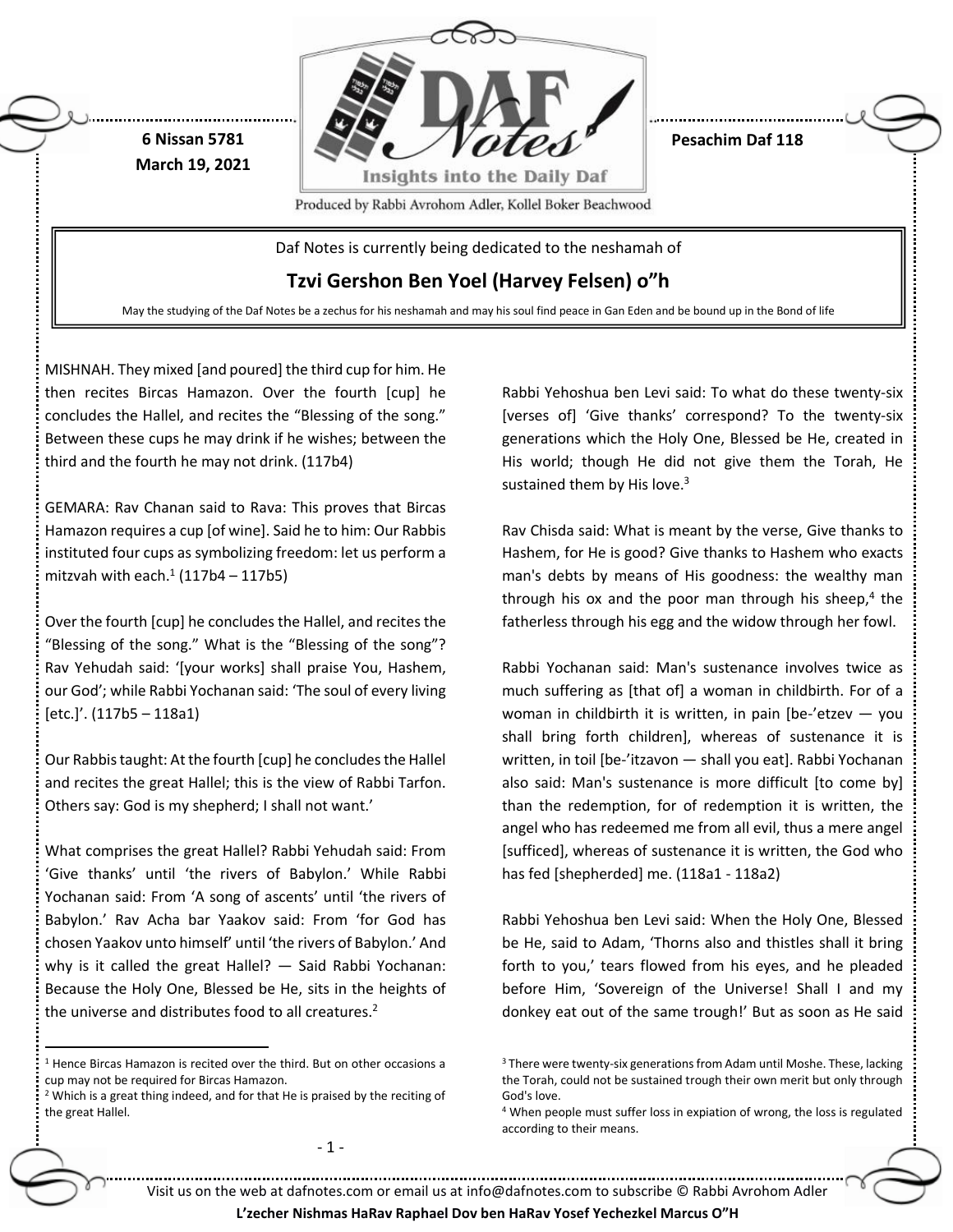

**Pesachim Daf 118**

Produced by Rabbi Avrohom Adler, Kollel Boker Beachwood

Daf Notes is currently being dedicated to the neshamah of

**Tzvi Gershon Ben Yoel (Harvey Felsen) o"h**

May the studying of the Daf Notes be a zechus for his neshamah and may his soul find peace in Gan Eden and be bound up in the Bond of life

MISHNAH. They mixed [and poured] the third cup for him. He then recites Bircas Hamazon. Over the fourth [cup] he concludes the Hallel, and recites the "Blessing of the song." Between these cups he may drink if he wishes; between the third and the fourth he may not drink. (117b4)

**6 Nissan 5781 March 19, 2021**

GEMARA: Rav Chanan said to Rava: This proves that Bircas Hamazon requires a cup [of wine]. Said he to him: Our Rabbis instituted four cups as symbolizing freedom: let us perform a mitzvah with each. $1(117b4 - 117b5)$ 

Over the fourth [cup] he concludes the Hallel, and recites the "Blessing of the song." What is the "Blessing of the song"? Rav Yehudah said: '[your works] shall praise You, Hashem, our God'; while Rabbi Yochanan said: 'The soul of every living [etc.]'. (117b5 – 118a1)

Our Rabbis taught: At the fourth [cup] he concludes the Hallel and recites the great Hallel; this is the view of Rabbi Tarfon. Others say: God is my shepherd; I shall not want.'

What comprises the great Hallel? Rabbi Yehudah said: From 'Give thanks' until 'the rivers of Babylon.' While Rabbi Yochanan said: From 'A song of ascents' until 'the rivers of Babylon.' Rav Acha bar Yaakov said: From 'for God has chosen Yaakov unto himself' until 'the rivers of Babylon.' And why is it called the great Hallel? — Said Rabbi Yochanan: Because the Holy One, Blessed be He, sits in the heights of the universe and distributes food to all creatures.<sup>2</sup>

 $\overline{a}$ 

- 1 -

Rabbi Yehoshua ben Levi said: To what do these twenty-six [verses of] 'Give thanks' correspond? To the twenty-six generations which the Holy One, Blessed be He, created in His world; though He did not give them the Torah, He sustained them by His love. $3$ 

Rav Chisda said: What is meant by the verse, Give thanks to Hashem, for He is good? Give thanks to Hashem who exacts man's debts by means of His goodness: the wealthy man through his ox and the poor man through his sheep,<sup>4</sup> the fatherless through his egg and the widow through her fowl.

Rabbi Yochanan said: Man's sustenance involves twice as much suffering as [that of] a woman in childbirth. For of a woman in childbirth it is written, in pain  $[be$ -'etzev  $-$  you shall bring forth children], whereas of sustenance it is written, in toil [be-'itzavon — shall you eat]. Rabbi Yochanan also said: Man's sustenance is more difficult [to come by] than the redemption, for of redemption it is written, the angel who has redeemed me from all evil, thus a mere angel [sufficed], whereas of sustenance it is written, the God who has fed [shepherded] me. (118a1 - 118a2)

Rabbi Yehoshua ben Levi said: When the Holy One, Blessed be He, said to Adam, 'Thorns also and thistles shall it bring forth to you,' tears flowed from his eyes, and he pleaded before Him, 'Sovereign of the Universe! Shall I and my donkey eat out of the same trough!' But as soon as He said

Visit us on the web at dafnotes.com or email us at [info@dafnotes.com](mailto:info@dafnotes.com) to subscribe © Rabbi Avrohom Adler

<sup>1</sup> Hence Bircas Hamazon is recited over the third. But on other occasions a cup may not be required for Bircas Hamazon.

<sup>2</sup> Which is a great thing indeed, and for that He is praised by the reciting of the great Hallel.

<sup>&</sup>lt;sup>3</sup> There were twenty-six generations from Adam until Moshe. These, lacking the Torah, could not be sustained trough their own merit but only through God's love.

<sup>&</sup>lt;sup>4</sup> When people must suffer loss in expiation of wrong, the loss is regulated according to their means.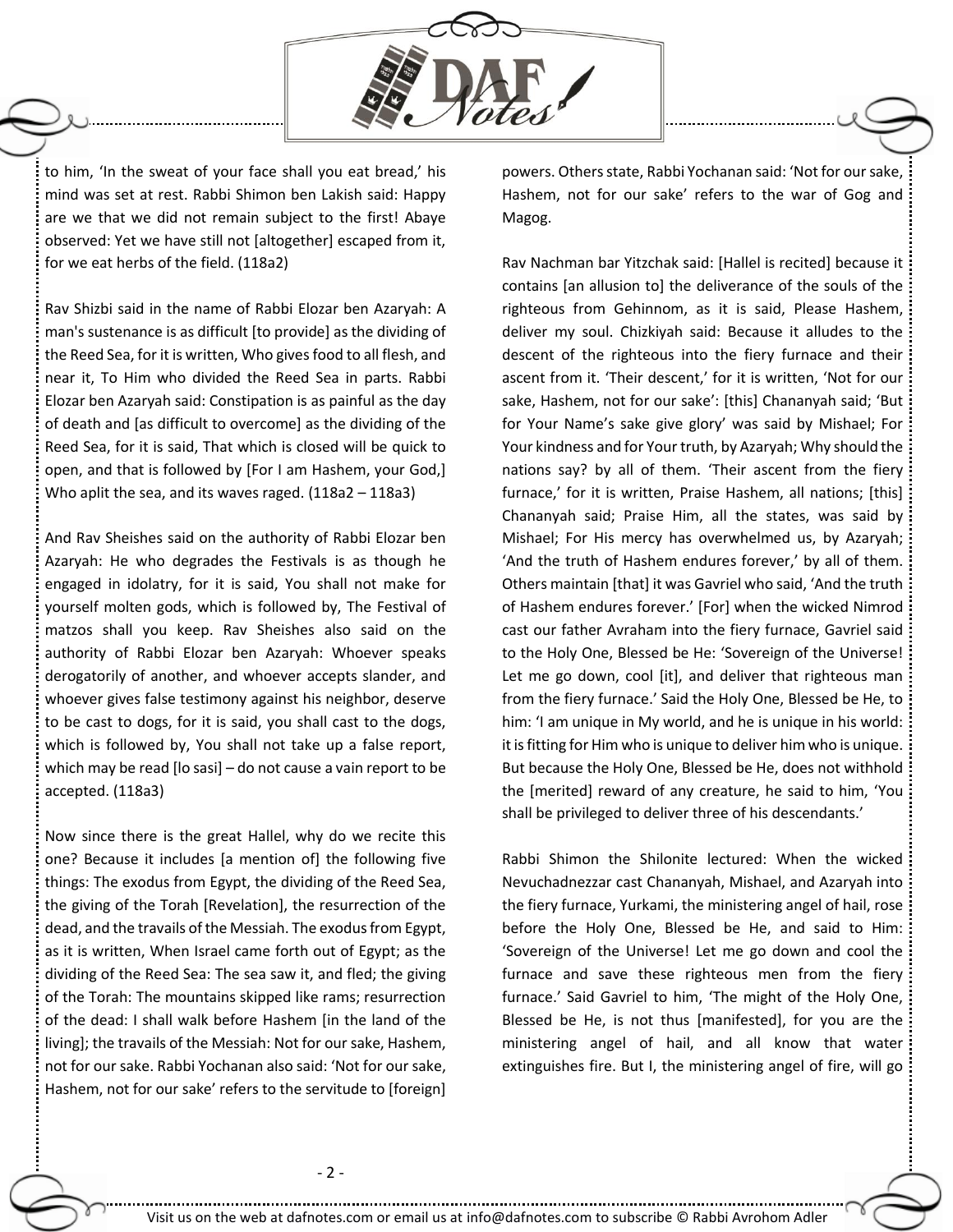

to him, 'In the sweat of your face shall you eat bread,' his mind was set at rest. Rabbi Shimon ben Lakish said: Happy are we that we did not remain subject to the first! Abaye observed: Yet we have still not [altogether] escaped from it, for we eat herbs of the field. (118a2)

Rav Shizbi said in the name of Rabbi Elozar ben Azaryah: A man's sustenance is as difficult [to provide] as the dividing of the Reed Sea, for it is written, Who givesfood to all flesh, and near it, To Him who divided the Reed Sea in parts. Rabbi Elozar ben Azaryah said: Constipation is as painful as the day of death and [as difficult to overcome] as the dividing of the Reed Sea, for it is said, That which is closed will be quick to open, and that is followed by [For I am Hashem, your God,] Who aplit the sea, and its waves raged. (118a2 – 118a3)

And Rav Sheishes said on the authority of Rabbi Elozar ben Azaryah: He who degrades the Festivals is as though he engaged in idolatry, for it is said, You shall not make for yourself molten gods, which is followed by, The Festival of matzos shall you keep. Rav Sheishes also said on the authority of Rabbi Elozar ben Azaryah: Whoever speaks derogatorily of another, and whoever accepts slander, and whoever gives false testimony against his neighbor, deserve to be cast to dogs, for it is said, you shall cast to the dogs, which is followed by, You shall not take up a false report, which may be read [lo sasi] – do not cause a vain report to be accepted. (118a3)

Now since there is the great Hallel, why do we recite this one? Because it includes [a mention of] the following five things: The exodus from Egypt, the dividing of the Reed Sea, the giving of the Torah [Revelation], the resurrection of the dead, and the travails of the Messiah. The exodus from Egypt, as it is written, When Israel came forth out of Egypt; as the dividing of the Reed Sea: The sea saw it, and fled; the giving of the Torah: The mountains skipped like rams; resurrection of the dead: I shall walk before Hashem [in the land of the living]; the travails of the Messiah: Not for our sake, Hashem, not for our sake. Rabbi Yochanan also said: 'Not for our sake, Hashem, not for our sake' refers to the servitude to [foreign] powers. Others state, Rabbi Yochanan said: 'Not for our sake, Hashem, not for our sake' refers to the war of Gog and Magog.

Rav Nachman bar Yitzchak said: [Hallel is recited] because it contains [an allusion to] the deliverance of the souls of the righteous from Gehinnom, as it is said, Please Hashem, deliver my soul. Chizkiyah said: Because it alludes to the descent of the righteous into the fiery furnace and their ascent from it. 'Their descent,' for it is written, 'Not for our sake, Hashem, not for our sake': [this] Chananyah said; 'But for Your Name's sake give glory' was said by Mishael; For Your kindness and for Your truth, by Azaryah; Why should the nations say? by all of them. 'Their ascent from the fiery furnace,' for it is written, Praise Hashem, all nations; [this] Chananyah said; Praise Him, all the states, was said by Mishael; For His mercy has overwhelmed us, by Azaryah; 'And the truth of Hashem endures forever,' by all of them. Others maintain [that] it was Gavriel who said, 'And the truth of Hashem endures forever.' [For] when the wicked Nimrod cast our father Avraham into the fiery furnace, Gavriel said to the Holy One, Blessed be He: 'Sovereign of the Universe! Let me go down, cool [it], and deliver that righteous man from the fiery furnace.' Said the Holy One, Blessed be He, to him: 'I am unique in My world, and he is unique in his world: it is fitting for Him who is unique to deliver him who is unique. But because the Holy One, Blessed be He, does not withhold the [merited] reward of any creature, he said to him, 'You shall be privileged to deliver three of his descendants.'

Rabbi Shimon the Shilonite lectured: When the wicked Nevuchadnezzar cast Chananyah, Mishael, and Azaryah into the fiery furnace, Yurkami, the ministering angel of hail, rose before the Holy One, Blessed be He, and said to Him: 'Sovereign of the Universe! Let me go down and cool the furnace and save these righteous men from the fiery furnace.' Said Gavriel to him, 'The might of the Holy One, Blessed be He, is not thus [manifested], for you are the ministering angel of hail, and all know that water extinguishes fire. But I, the ministering angel of fire, will go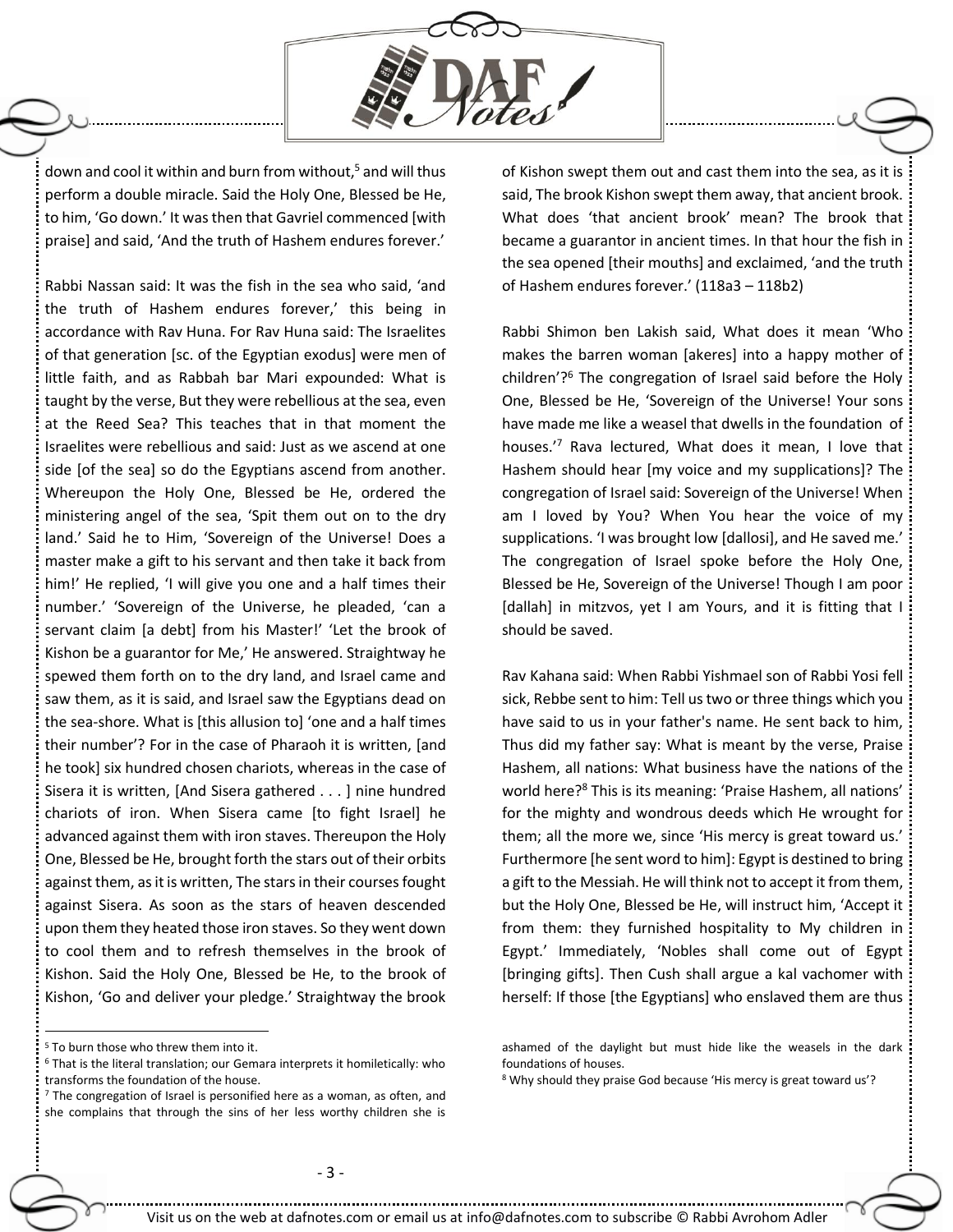

down and cool it within and burn from without,<sup>5</sup> and will thus perform a double miracle. Said the Holy One, Blessed be He, to him, 'Go down.' It was then that Gavriel commenced [with praise] and said, 'And the truth of Hashem endures forever.'

Rabbi Nassan said: It was the fish in the sea who said, 'and the truth of Hashem endures forever,' this being in accordance with Rav Huna. For Rav Huna said: The Israelites of that generation [sc. of the Egyptian exodus] were men of little faith, and as Rabbah bar Mari expounded: What is taught by the verse, But they were rebellious at the sea, even at the Reed Sea? This teaches that in that moment the Israelites were rebellious and said: Just as we ascend at one side [of the sea] so do the Egyptians ascend from another. Whereupon the Holy One, Blessed be He, ordered the ministering angel of the sea, 'Spit them out on to the dry land.' Said he to Him, 'Sovereign of the Universe! Does a master make a gift to his servant and then take it back from him!' He replied, 'I will give you one and a half times their number.' 'Sovereign of the Universe, he pleaded, 'can a servant claim [a debt] from his Master!' 'Let the brook of Kishon be a guarantor for Me,' He answered. Straightway he spewed them forth on to the dry land, and Israel came and saw them, as it is said, and Israel saw the Egyptians dead on the sea-shore. What is [this allusion to] 'one and a half times their number'? For in the case of Pharaoh it is written, [and he took] six hundred chosen chariots, whereas in the case of Sisera it is written, [And Sisera gathered . . . ] nine hundred chariots of iron. When Sisera came [to fight Israel] he advanced against them with iron staves. Thereupon the Holy One, Blessed be He, brought forth the stars out of their orbits against them, as it is written, The stars in their courses fought against Sisera. As soon as the stars of heaven descended upon them they heated those iron staves. So they went down to cool them and to refresh themselves in the brook of Kishon. Said the Holy One, Blessed be He, to the brook of Kishon, 'Go and deliver your pledge.' Straightway the brook

of Kishon swept them out and cast them into the sea, as it is said, The brook Kishon swept them away, that ancient brook. What does 'that ancient brook' mean? The brook that became a guarantor in ancient times. In that hour the fish in the sea opened [their mouths] and exclaimed, 'and the truth of Hashem endures forever.' (118a3 – 118b2)

Rabbi Shimon ben Lakish said, What does it mean 'Who makes the barren woman [akeres] into a happy mother of children'?<sup>6</sup> The congregation of Israel said before the Holy One, Blessed be He, 'Sovereign of the Universe! Your sons have made me like a weasel that dwells in the foundation of houses.'<sup>7</sup> Rava lectured, What does it mean, I love that Hashem should hear [my voice and my supplications]? The congregation of Israel said: Sovereign of the Universe! When am I loved by You? When You hear the voice of my supplications. 'I was brought low [dallosi], and He saved me.' The congregation of Israel spoke before the Holy One, Blessed be He, Sovereign of the Universe! Though I am poor [dallah] in mitzvos, yet I am Yours, and it is fitting that I should be saved.

Rav Kahana said: When Rabbi Yishmael son of Rabbi Yosi fell sick, Rebbe sent to him: Tell us two or three things which you have said to us in your father's name. He sent back to him, Thus did my father say: What is meant by the verse, Praise Hashem, all nations: What business have the nations of the world here?<sup>8</sup> This is its meaning: 'Praise Hashem, all nations' for the mighty and wondrous deeds which He wrought for them; all the more we, since 'His mercy is great toward us.' Furthermore [he sent word to him]: Egypt is destined to bring a gift to the Messiah. He will think not to accept it from them, but the Holy One, Blessed be He, will instruct him, 'Accept it from them: they furnished hospitality to My children in Egypt.' Immediately, 'Nobles shall come out of Egypt [bringing gifts]. Then Cush shall argue a kal vachomer with herself: If those [the Egyptians] who enslaved them are thus

 $\overline{a}$ 

<sup>&</sup>lt;sup>5</sup> To burn those who threw them into it.

<sup>6</sup> That is the literal translation; our Gemara interprets it homiletically: who transforms the foundation of the house.

<sup>&</sup>lt;sup>7</sup> The congregation of Israel is personified here as a woman, as often, and she complains that through the sins of her less worthy children she is

ashamed of the daylight but must hide like the weasels in the dark foundations of houses.

<sup>&</sup>lt;sup>8</sup> Why should they praise God because 'His mercy is great toward us'?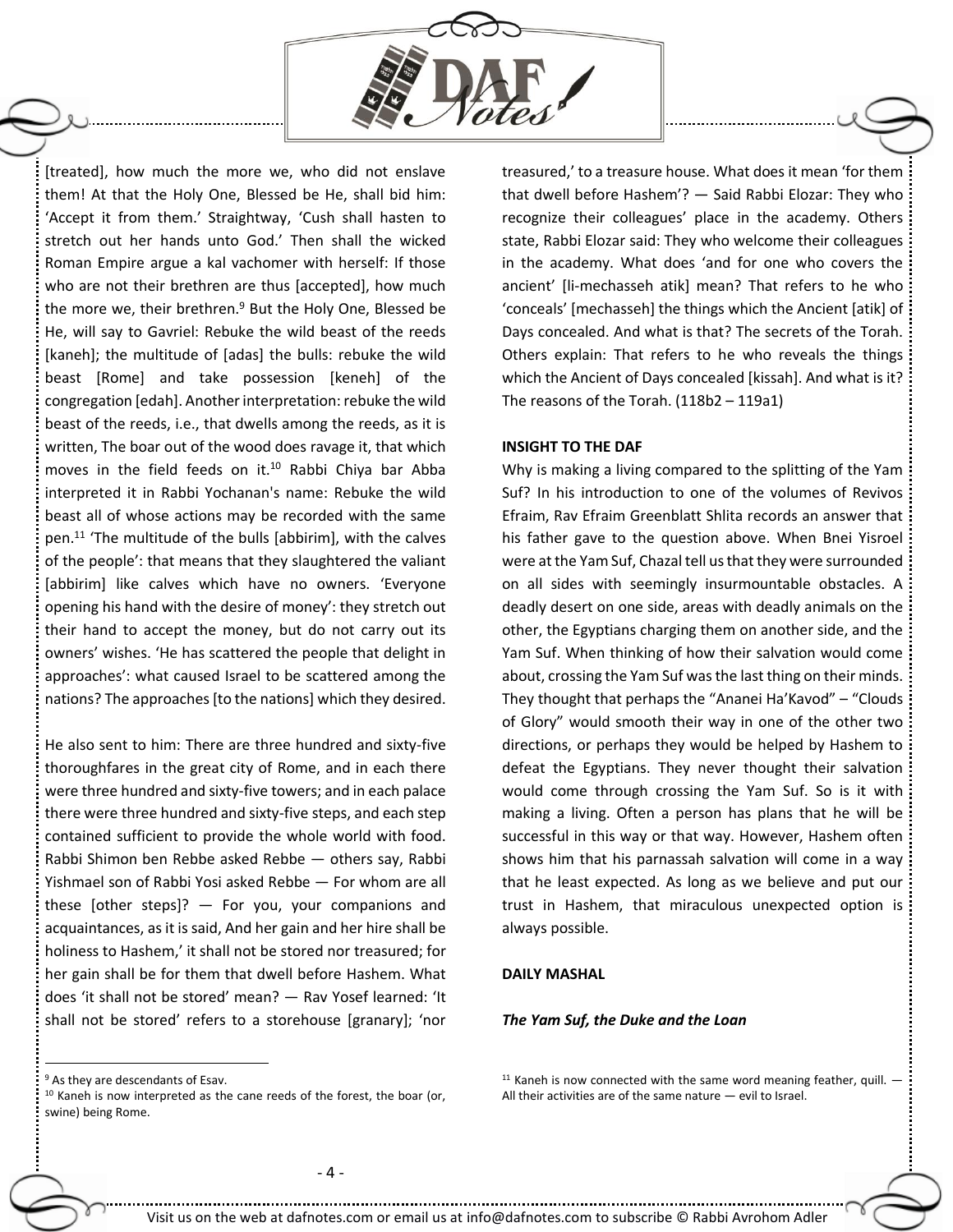

[treated], how much the more we, who did not enslave them! At that the Holy One, Blessed be He, shall bid him: 'Accept it from them.' Straightway, 'Cush shall hasten to stretch out her hands unto God.' Then shall the wicked Roman Empire argue a kal vachomer with herself: If those who are not their brethren are thus [accepted], how much the more we, their brethren.<sup>9</sup> But the Holy One, Blessed be He, will say to Gavriel: Rebuke the wild beast of the reeds [kaneh]; the multitude of [adas] the bulls: rebuke the wild beast [Rome] and take possession [keneh] of the congregation [edah]. Another interpretation: rebuke the wild beast of the reeds, i.e., that dwells among the reeds, as it is written, The boar out of the wood does ravage it, that which moves in the field feeds on it.<sup>10</sup> Rabbi Chiya bar Abba interpreted it in Rabbi Yochanan's name: Rebuke the wild beast all of whose actions may be recorded with the same pen.<sup>11</sup> 'The multitude of the bulls [abbirim], with the calves of the people': that means that they slaughtered the valiant [abbirim] like calves which have no owners. 'Everyone opening his hand with the desire of money': they stretch out their hand to accept the money, but do not carry out its owners' wishes. 'He has scattered the people that delight in approaches': what caused Israel to be scattered among the nations? The approaches [to the nations] which they desired.

He also sent to him: There are three hundred and sixty-five thoroughfares in the great city of Rome, and in each there were three hundred and sixty-five towers; and in each palace there were three hundred and sixty-five steps, and each step contained sufficient to provide the whole world with food. Rabbi Shimon ben Rebbe asked Rebbe — others say, Rabbi Yishmael son of Rabbi Yosi asked Rebbe — For whom are all these [other steps]?  $-$  For you, your companions and acquaintances, as it is said, And her gain and her hire shall be holiness to Hashem,' it shall not be stored nor treasured; for her gain shall be for them that dwell before Hashem. What does 'it shall not be stored' mean? — Rav Yosef learned: 'It shall not be stored' refers to a storehouse [granary]; 'nor

treasured,' to a treasure house. What does it mean 'for them that dwell before Hashem'? — Said Rabbi Elozar: They who recognize their colleagues' place in the academy. Others state, Rabbi Elozar said: They who welcome their colleagues in the academy. What does 'and for one who covers the ancient' [li-mechasseh atik] mean? That refers to he who 'conceals' [mechasseh] the things which the Ancient [atik] of Days concealed. And what is that? The secrets of the Torah. Others explain: That refers to he who reveals the things which the Ancient of Days concealed [kissah]. And what is it? The reasons of the Torah. (118b2 – 119a1)

## **INSIGHT TO THE DAF**

Why is making a living compared to the splitting of the Yam Suf? In his introduction to one of the volumes of Revivos Efraim, Rav Efraim Greenblatt Shlita records an answer that his father gave to the question above. When Bnei Yisroel were at the Yam Suf, Chazal tell us that they were surrounded on all sides with seemingly insurmountable obstacles. A deadly desert on one side, areas with deadly animals on the other, the Egyptians charging them on another side, and the Yam Suf. When thinking of how their salvation would come about, crossing the Yam Suf was the last thing on their minds. They thought that perhaps the "Ananei Ha'Kavod" – "Clouds of Glory" would smooth their way in one of the other two directions, or perhaps they would be helped by Hashem to defeat the Egyptians. They never thought their salvation would come through crossing the Yam Suf. So is it with making a living. Often a person has plans that he will be successful in this way or that way. However, Hashem often shows him that his parnassah salvation will come in a way that he least expected. As long as we believe and put our trust in Hashem, that miraculous unexpected option is always possible.

## **DAILY MASHAL**

## *The Yam Suf, the Duke and the Loan*

 $\overline{a}$ 

 $11$  Kaneh is now connected with the same word meaning feather, quill.  $-$ All their activities are of the same nature — evil to Israel.

<sup>&</sup>lt;sup>9</sup> As they are descendants of Esav.

<sup>&</sup>lt;sup>10</sup> Kaneh is now interpreted as the cane reeds of the forest, the boar (or, swine) being Rome.